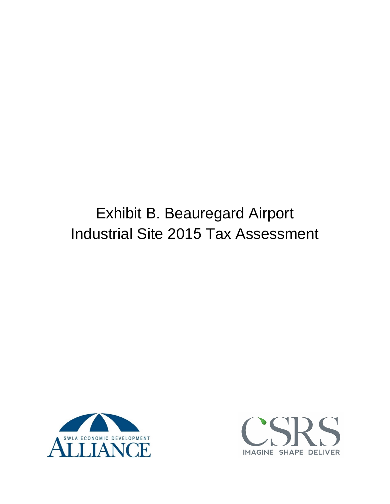# Exhibit B. Beauregard Airport Industrial Site 2015 Tax Assessment



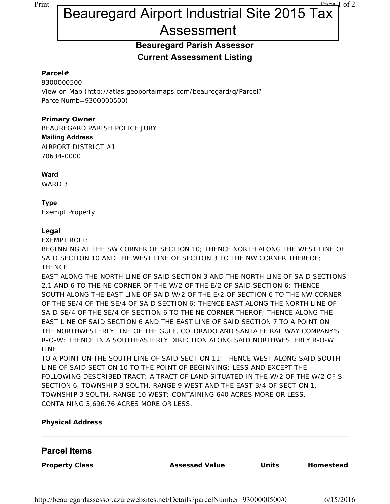# Print Page 1 of 2 Beauregard Airport Industrial Site 2015 Tax Assessment

## **Beauregard Parish Assessor Current Assessment Listing**

#### **Parcel#**

9300000500 View on Map (http://atlas.geoportalmaps.com/beauregard/q/Parcel? ParcelNumb=9300000500)

#### **Primary Owner**

BEAUREGARD PARISH POLICE JURY **Mailing Address** AIRPORT DISTRICT #1 70634-0000

#### **Ward**

WARD 3

#### **Type**

Exempt Property

#### **Legal**

EXEMPT ROLL:

BEGINNING AT THE SW CORNER OF SECTION 10; THENCE NORTH ALONG THE WEST LINE OF SAID SECTION 10 AND THE WEST LINE OF SECTION 3 TO THE NW CORNER THEREOF; **THENCE** 

EAST ALONG THE NORTH LINE OF SAID SECTION 3 AND THE NORTH LINE OF SAID SECTIONS 2,1 AND 6 TO THE NE CORNER OF THE W/2 OF THE E/2 OF SAID SECTION 6; THENCE SOUTH ALONG THE EAST LINE OF SAID W/2 OF THE E/2 OF SECTION 6 TO THE NW CORNER OF THE SE/4 OF THE SE/4 OF SAID SECTION 6; THENCE EAST ALONG THE NORTH LINE OF SAID SE/4 OF THE SE/4 OF SECTION 6 TO THE NE CORNER THEROF; THENCE ALONG THE EAST LINE OF SAID SECTION 6 AND THE EAST LINE OF SAID SECTION 7 TO A POINT ON THE NORTHWESTERLY LINE OF THE GULF, COLORADO AND SANTA FE RAILWAY COMPANY'S R-O-W; THENCE IN A SOUTHEASTERLY DIRECTION ALONG SAID NORTHWESTERLY R-O-W LINE

TO A POINT ON THE SOUTH LINE OF SAID SECTION 11; THENCE WEST ALONG SAID SOUTH LINE OF SAID SECTION 10 TO THE POINT OF BEGINNING; LESS AND EXCEPT THE FOLLOWING DESCRIBED TRACT: A TRACT OF LAND SITUATED IN THE W/2 OF THE W/2 OF S SECTION 6, TOWNSHIP 3 SOUTH, RANGE 9 WEST AND THE EAST 3/4 OF SECTION 1, TOWNSHIP 3 SOUTH, RANGE 10 WEST; CONTAINING 640 ACRES MORE OR LESS. CONTAINING 3,696.76 ACRES MORE OR LESS.

#### **Physical Address**

#### **Parcel Items**

**Property Class Assessed Value Units Homestead**